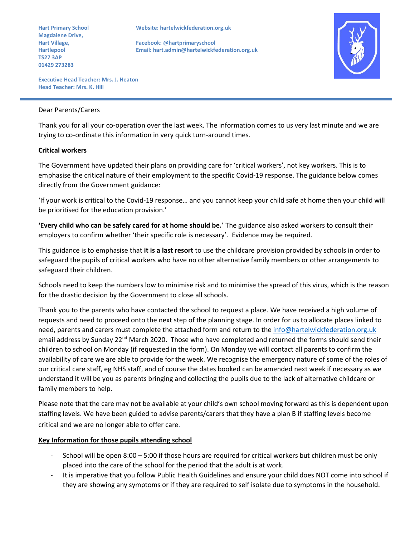**Magdalene Drive, TS27 3AP 01429 273283**

**Hart Primary School Website: hartelwickfederation.org.uk**

**Hart Village, Facebook: @hartprimaryschool Hartlepool Email: hart.admin@hartelwickfederation.org.uk**



**Executive Head Teacher: Mrs. J. Heaton Head Teacher: Mrs. K. Hill** 

#### Dear Parents/Carers

Thank you for all your co-operation over the last week. The information comes to us very last minute and we are trying to co-ordinate this information in very quick turn-around times.

### **Critical workers**

The Government have updated their plans on providing care for 'critical workers', not key workers. This is to emphasise the critical nature of their employment to the specific Covid-19 response. The guidance below comes directly from the Government guidance:

'If your work is critical to the Covid-19 response… and you cannot keep your child safe at home then your child will be prioritised for the education provision.'

**'Every child who can be safely cared for at home should be.**' The guidance also asked workers to consult their employers to confirm whether 'their specific role is necessary'. Evidence may be required.

This guidance is to emphasise that **it is a last resort** to use the childcare provision provided by schools in order to safeguard the pupils of critical workers who have no other alternative family members or other arrangements to safeguard their children.

Schools need to keep the numbers low to minimise risk and to minimise the spread of this virus, which is the reason for the drastic decision by the Government to close all schools.

Thank you to the parents who have contacted the school to request a place. We have received a high volume of requests and need to proceed onto the next step of the planning stage. In order for us to allocate places linked to need, parents and carers must complete the attached form and return to the [info@hartelwickfederation.org.uk](mailto:info@hartelwickfederation.org.uk) email address by Sunday 22<sup>nd</sup> March 2020. Those who have completed and returned the forms should send their children to school on Monday (if requested in the form). On Monday we will contact all parents to confirm the availability of care we are able to provide for the week. We recognise the emergency nature of some of the roles of our critical care staff, eg NHS staff, and of course the dates booked can be amended next week if necessary as we understand it will be you as parents bringing and collecting the pupils due to the lack of alternative childcare or family members to help.

Please note that the care may not be available at your child's own school moving forward as this is dependent upon staffing levels. We have been guided to advise parents/carers that they have a plan B if staffing levels become critical and we are no longer able to offer care.

### **Key Information for those pupils attending school**

- School will be open 8:00 5:00 if those hours are required for critical workers but children must be only placed into the care of the school for the period that the adult is at work.
- It is imperative that you follow Public Health Guidelines and ensure your child does NOT come into school if they are showing any symptoms or if they are required to self isolate due to symptoms in the household.